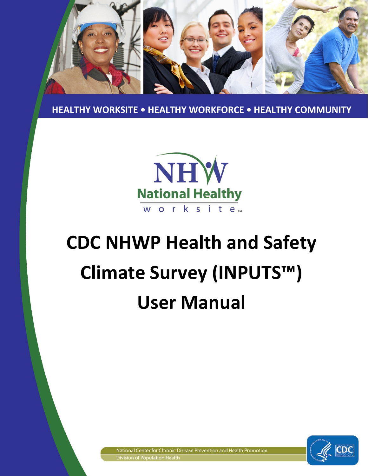

 **HEALTHY WORKSITE • HEALTHY WORKFORCE • HEALTHY COMMUNITY**



# **CDC NHWP Health and Safety Climate Survey (INPUTS™) User Manual**

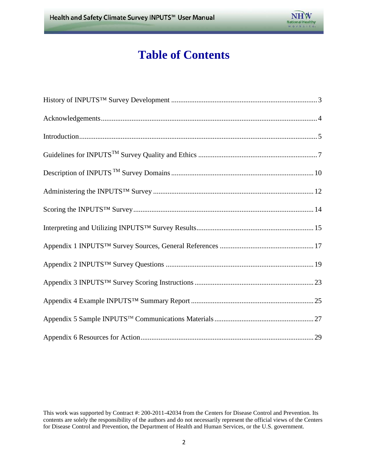

# **Table of Contents**

 This work was supported by Contract #: 200-2011-42034 from the Centers for Disease Control and Prevention. Its contents are solely the responsibility of the authors and do not necessarily represent the official views of the Centers for Disease Control and Prevention, the Department of Health and Human Services, or the U.S. government.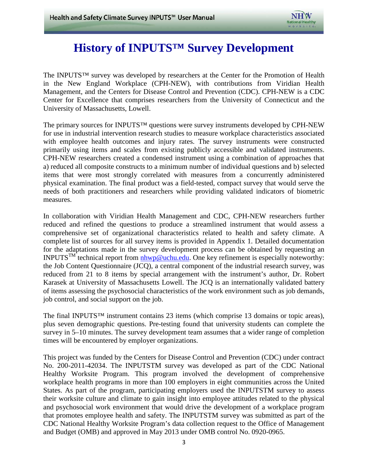

# **History of INPUTS™ Survey Development**

<span id="page-2-0"></span> Management, and the Centers for Disease Control and Prevention (CDC). CPH-NEW is a CDC The INPUTS™ survey was developed by researchers at the Center for the Promotion of Health in the New England Workplace (CPH-NEW), with contributions from Viridian Health Center for Excellence that comprises researchers from the University of Connecticut and the University of Massachusetts, Lowell.

 primarily using items and scales from existing publicly accessible and validated instruments. The primary sources for INPUTS™ questions were survey instruments developed by CPH-NEW for use in industrial intervention research studies to measure workplace characteristics associated with employee health outcomes and injury rates. The survey instruments were constructed CPH-NEW researchers created a condensed instrument using a combination of approaches that a) reduced all composite constructs to a minimum number of individual questions and b) selected items that were most strongly correlated with measures from a concurrently administered physical examination. The final product was a field-tested, compact survey that would serve the needs of both practitioners and researchers while providing validated indicators of biometric measures.

 comprehensive set of organizational characteristics related to health and safety climate. A In collaboration with Viridian Health Management and CDC, CPH-NEW researchers further reduced and refined the questions to produce a streamlined instrument that would assess a complete list of sources for all survey items is provided in Appendix 1. Detailed documentation for the adaptations made in the survey development process can be obtained by requesting an INPUTS<sup>TM</sup> technical report from  $n \rightarrow \infty$  noteworthy: One key refinement is especially noteworthy: the Job Content Questionnaire (JCQ), a central component of the industrial research survey, was reduced from 21 to 8 items by special arrangement with the instrument's author, Dr. Robert Karasek at University of Massachusetts Lowell. The JCQ is an internationally validated battery of items assessing the psychosocial characteristics of the work environment such as job demands, job control, and social support on the job.

The final INPUTS™ instrument contains 23 items (which comprise 13 domains or topic areas), plus seven demographic questions. Pre-testing found that university students can complete the survey in 5–10 minutes. The survey development team assumes that a wider range of completion times will be encountered by employer organizations.

 This project was funded by the Centers for Disease Control and Prevention (CDC) under contract States. As part of the program, participating employers used the INPUTSTM survey to assess No. 200-2011-42034. The INPUTSTM survey was developed as part of the CDC National Healthy Worksite Program. This program involved the development of comprehensive workplace health programs in more than 100 employers in eight communities across the United their worksite culture and climate to gain insight into employee attitudes related to the physical and psychosocial work environment that would drive the development of a workplace program that promotes employee health and safety. The INPUTSTM survey was submitted as part of the CDC National Healthy Worksite Program's data collection request to the Office of Management and Budget (OMB) and approved in May 2013 under OMB control No. 0920-0965.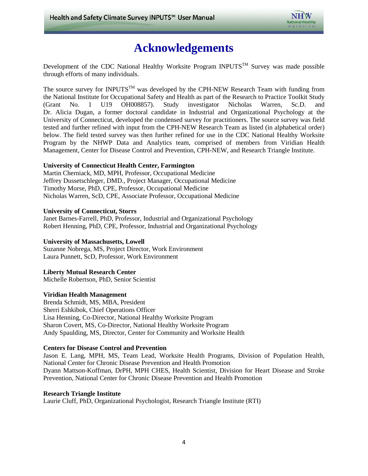

# **Acknowledgements**

<span id="page-3-0"></span>Development of the CDC National Healthy Worksite Program INPUTS<sup>TM</sup> Survey was made possible through efforts of many individuals.

 tested and further refined with input from the CPH-NEW Research Team as listed (in alphabetical order) The source survey for INPUTS<sup>TM</sup> was developed by the CPH-NEW Research Team with funding from the National Institute for Occupational Safety and Health as part of the Research to Practice Toolkit Study (Grant No. 1 U19 OH008857). Study investigator Nicholas Warren, Sc.D. and Dr. Alicia Dugan, a former doctoral candidate in Industrial and Organizational Psychology at the University of Connecticut, developed the condensed survey for practitioners. The source survey was field below. The field tested survey was then further refined for use in the CDC National Healthy Worksite Program by the NHWP Data and Analytics team, comprised of members from Viridian Health Management, Center for Disease Control and Prevention, CPH-NEW, and Research Triangle Institute.

#### **University of Connecticut Health Center, Farmington**

 Timothy Morse, PhD, CPE, Professor, Occupational Medicine Martin Cherniack, MD, MPH, Professor, Occupational Medicine Jeffrey Dussetschleger, DMD., Project Manager, Occupational Medicine Nicholas Warren, ScD, CPE, Associate Professor, Occupational Medicine

#### **University of Connecticut, Storrs**

Janet Barnes-Farrell, PhD, Professor, Industrial and Organizational Psychology Robert Henning, PhD, CPE, Professor, Industrial and Organizational Psychology

#### **University of Massachusetts, Lowell**

Suzanne Nobrega, MS, Project Director, Work Environment Laura Punnett, ScD, Professor, Work Environment

#### **Liberty Mutual Research Center**

Michelle Robertson, PhD, Senior Scientist

#### **Viridian Health Management**

Brenda Schmidt, MS, MBA, President Sherri Eshkibok, Chief Operations Officer Lisa Henning, Co-Director, National Healthy Worksite Program Sharon Covert, MS, Co-Director, National Healthy Worksite Program Andy Spaulding, MS, Director, Center for Community and Worksite Health

#### **Centers for Disease Control and Prevention**

 National Center for Chronic Disease Prevention and Health Promotion Jason E. Lang, MPH, MS, Team Lead, Worksite Health Programs, Division of Population Health, Dyann Mattson-Koffman, DrPH, MPH CHES, Health Scientist, Division for Heart Disease and Stroke Prevention, National Center for Chronic Disease Prevention and Health Promotion

#### **Research Triangle Institute**

Laurie Cluff, PhD, Organizational Psychologist, Research Triangle Institute (RTI)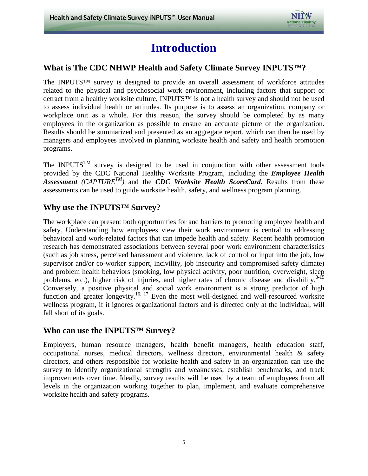

### **Introduction**

#### <span id="page-4-0"></span>**What is The CDC NHWP Health and Safety Climate Survey INPUTS™?**

 workplace unit as a whole. For this reason, the survey should be completed by as many The INPUTS™ survey is designed to provide an overall assessment of workforce attitudes related to the physical and psychosocial work environment, including factors that support or detract from a healthy worksite culture. INPUTS™ is not a health survey and should not be used to assess individual health or attitudes. Its purpose is to assess an organization, company or employees in the organization as possible to ensure an accurate picture of the organization. Results should be summarized and presented as an aggregate report, which can then be used by managers and employees involved in planning worksite health and safety and health promotion programs.

The INPUTS<sup>TM</sup> survey is designed to be used in conjunction with other assessment tools provided by the CDC National Healthy Worksite Program, including the *Employee Health*   $\overline{A}$ ssessment (CAPTURE<sup>TM</sup>) and the *CDC Worksite Health ScoreCard*. Results from these assessments can be used to guide worksite health, safety, and wellness program planning.

#### **Why use the INPUTS™ Survey?**

 (such as job stress, perceived harassment and violence, lack of control or input into the job, low fall short of its goals. The workplace can present both opportunities for and barriers to promoting employee health and safety. Understanding how employees view their work environment is central to addressing behavioral and work-related factors that can impede health and safety. Recent health promotion research has demonstrated associations between several poor work environment characteristics supervisor and/or co-worker support, incivility, job insecurity and compromised safety climate) and problem health behaviors (smoking, low physical activity, poor nutrition, overweight, sleep problems, etc.), higher risk of injuries, and higher rates of chronic disease and disability.<sup>8-15</sup> Conversely, a positive physical and social work environment is a strong predictor of high function and greater longevity.<sup>16, 17</sup> Even the most well-designed and well-resourced worksite wellness program, if it ignores organizational factors and is directed only at the individual, will

#### **Who can use the INPUTS™ Survey?**

 worksite health and safety programs. Employers, human resource managers, health benefit managers, health education staff, occupational nurses, medical directors, wellness directors, environmental health & safety directors, and others responsible for worksite health and safety in an organization can use the survey to identify organizational strengths and weaknesses, establish benchmarks, and track improvements over time. Ideally, survey results will be used by a team of employees from all levels in the organization working together to plan, implement, and evaluate comprehensive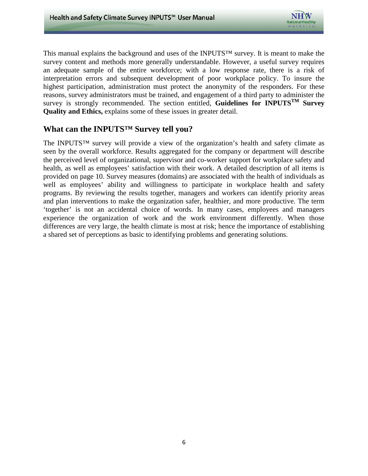

 This manual explains the background and uses of the INPUTS™ survey. It is meant to make the survey content and methods more generally understandable. However, a useful survey requires an adequate sample of the entire workforce; with a low response rate, there is a risk of interpretation errors and subsequent development of poor workplace policy. To insure the highest participation, administration must protect the anonymity of the responders. For these reasons, survey administrators must be trained, and engagement of a third party to administer the survey is strongly recommended. The section entitled, **Guidelines for INPUTSTM Survey Quality and Ethics,** explains some of these issues in greater detail.

#### **What can the INPUTS™ Survey tell you?**

 well as employees' ability and willingness to participate in workplace health and safety programs. By reviewing the results together, managers and workers can identify priority areas 'together' is not an accidental choice of words. In many cases, employees and managers The INPUTS™ survey will provide a view of the organization's health and safety climate as seen by the overall workforce. Results aggregated for the company or department will describe the perceived level of organizational, supervisor and co-worker support for workplace safety and health, as well as employees' satisfaction with their work. A detailed description of all items is provided on page 10. Survey measures (domains) are associated with the health of individuals as and plan interventions to make the organization safer, healthier, and more productive. The term experience the organization of work and the work environment differently. When those differences are very large, the health climate is most at risk; hence the importance of establishing a shared set of perceptions as basic to identifying problems and generating solutions.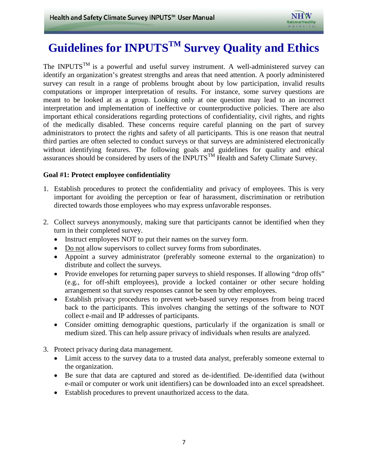# <span id="page-6-0"></span> **Guidelines for INPUTSTM Survey Quality and Ethics**

 meant to be looked at as a group. Looking only at one question may lead to an incorrect administrators to protect the rights and safety of all participants. This is one reason that neutral The INPUTS<sup>TM</sup> is a powerful and useful survey instrument. A well-administered survey can identify an organization's greatest strengths and areas that need attention. A poorly administered survey can result in a range of problems brought about by low participation, invalid results computations or improper interpretation of results. For instance, some survey questions are interpretation and implementation of ineffective or counterproductive policies. There are also important ethical considerations regarding protections of confidentiality, civil rights, and rights of the medically disabled. These concerns require careful planning on the part of survey third parties are often selected to conduct surveys or that surveys are administered electronically without identifying features. The following goals and guidelines for quality and ethical assurances should be considered by users of the INPUTS<sup>TM</sup> Health and Safety Climate Survey.

#### **Goal #1: Protect employee confidentiality**

- 1. Establish procedures to protect the confidentiality and privacy of employees. This is very important for avoiding the perception or fear of harassment, discrimination or retribution directed towards those employees who may express unfavorable responses.
- 2. Collect surveys anonymously, making sure that participants cannot be identified when they turn in their completed survey.
	- Instruct employees NOT to put their names on the survey form.
	- Do not allow supervisors to collect survey forms from subordinates.
	- distribute and collect the surveys. • Appoint a survey administrator (preferably someone external to the organization) to
	- Provide envelopes for returning paper surveys to shield responses. If allowing "drop offs" (e.g., for off-shift employees), provide a locked container or other secure holding arrangement so that survey responses cannot be seen by other employees.
	- collect e-mail and IP addresses of participants. • Establish privacy procedures to prevent web-based survey responses from being traced back to the participants. This involves changing the settings of the software to NOT
	- Consider omitting demographic questions, particularly if the organization is small or medium sized. This can help assure privacy of individuals when results are analyzed.
- 3. Protect privacy during data management.
	- • Limit access to the survey data to a trusted data analyst, preferably someone external to the organization.
	- Be sure that data are captured and stored as de-identified. De-identified data (without e-mail or computer or work unit identifiers) can be downloaded into an excel spreadsheet.
	- Establish procedures to prevent unauthorized access to the data.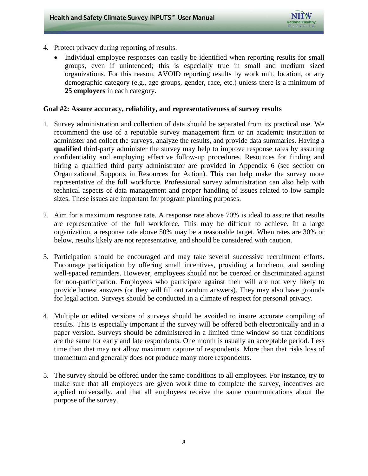

- 4. Protect privacy during reporting of results.
	- **25 employees** in each category. Individual employee responses can easily be identified when reporting results for small groups, even if unintended; this is especially true in small and medium sized organizations. For this reason, AVOID reporting results by work unit, location, or any demographic category (e.g., age groups, gender, race, etc.) unless there is a minimum of

#### **Goal #2: Assure accuracy, reliability, and representativeness of survey results**

- confidentiality and employing effective follow-up procedures. Resources for finding and Organizational Supports in Resources for Action). This can help make the survey more 1. Survey administration and collection of data should be separated from its practical use. We recommend the use of a reputable survey management firm or an academic institution to administer and collect the surveys, analyze the results, and provide data summaries. Having a **qualified** third-party administer the survey may help to improve response rates by assuring hiring a qualified third party administrator are provided in Appendix 6 (see section on representative of the full workforce. Professional survey administration can also help with technical aspects of data management and proper handling of issues related to low sample sizes. These issues are important for program planning purposes.
- 2. Aim for a maximum response rate. A response rate above 70% is ideal to assure that results are representative of the full workforce. This may be difficult to achieve. In a large organization, a response rate above 50% may be a reasonable target. When rates are 30% or below, results likely are not representative, and should be considered with caution.
- provide honest answers (or they will fill out random answers). They may also have grounds 3. Participation should be encouraged and may take several successive recruitment efforts. Encourage participation by offering small incentives, providing a luncheon, and sending well-spaced reminders. However, employees should not be coerced or discriminated against for non-participation. Employees who participate against their will are not very likely to for legal action. Surveys should be conducted in a climate of respect for personal privacy.
- results. This is especially important if the survey will be offered both electronically and in a are the same for early and late respondents. One month is usually an acceptable period. Less 4. Multiple or edited versions of surveys should be avoided to insure accurate compiling of paper version. Surveys should be administered in a limited time window so that conditions time than that may not allow maximum capture of respondents. More than that risks loss of momentum and generally does not produce many more respondents.
- 5. The survey should be offered under the same conditions to all employees. For instance, try to applied universally, and that all employees receive the same communications about the make sure that all employees are given work time to complete the survey, incentives are purpose of the survey.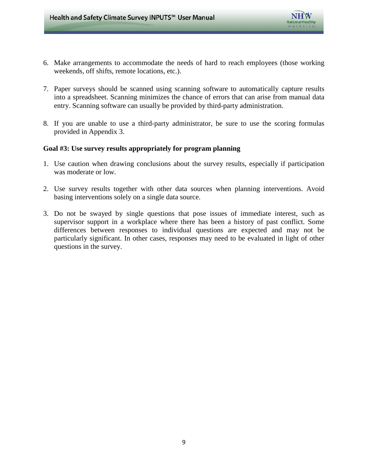

- 6. Make arrangements to accommodate the needs of hard to reach employees (those working weekends, off shifts, remote locations, etc.).
- 7. Paper surveys should be scanned using scanning software to automatically capture results into a spreadsheet. Scanning minimizes the chance of errors that can arise from manual data entry. Scanning software can usually be provided by third-party administration.
- 8. If you are unable to use a third-party administrator, be sure to use the scoring formulas provided in Appendix 3.

#### **Goal #3: Use survey results appropriately for program planning**

- 1. Use caution when drawing conclusions about the survey results, especially if participation was moderate or low.
- 2. Use survey results together with other data sources when planning interventions. Avoid basing interventions solely on a single data source.
- 3. Do not be swayed by single questions that pose issues of immediate interest, such as supervisor support in a workplace where there has been a history of past conflict. Some differences between responses to individual questions are expected and may not be particularly significant. In other cases, responses may need to be evaluated in light of other questions in the survey.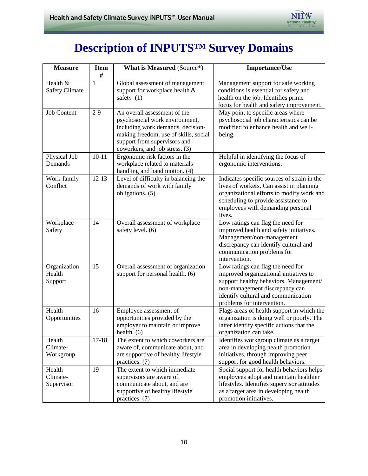

# **Description of INPUTS™ Survey Domains**

| <b>Measure</b>                    | <b>Item</b>  | <b>What is Measured (Source*)</b>                                                                                                                                                                              | <b>Importance/Use</b>                                                                                                                                                                                                        |
|-----------------------------------|--------------|----------------------------------------------------------------------------------------------------------------------------------------------------------------------------------------------------------------|------------------------------------------------------------------------------------------------------------------------------------------------------------------------------------------------------------------------------|
|                                   | #            |                                                                                                                                                                                                                |                                                                                                                                                                                                                              |
| Health &<br><b>Safety Climate</b> | $\mathbf{1}$ | Global assessment of management<br>support for workplace health &<br>safety $(1)$                                                                                                                              | Management support for safe working<br>conditions is essential for safety and<br>health on the job. Identifies prime<br>focus for health and safety improvement.                                                             |
| <b>Job Content</b>                | $2-9$        | An overall assessment of the<br>psychosocial work environment,<br>including work demands, decision-<br>making freedom, use of skills, social<br>support from supervisors and<br>coworkers, and job stress. (3) | May point to specific areas where<br>psychosocial job characteristics can be<br>modified to enhance health and well-<br>being.                                                                                               |
| Physical Job<br>Demands           | $10 - 11$    | Ergonomic risk factors in the<br>workplace related to materials<br>handling and hand motion. (4)                                                                                                               | Helpful in identifying the focus of<br>ergonomic interventions.                                                                                                                                                              |
| Work-family<br>Conflict           | $12 - 13$    | Level of difficulty in balancing the<br>demands of work with family<br>obligations. (5)                                                                                                                        | Indicates specific sources of strain in the<br>lives of workers. Can assist in planning<br>organizational efforts to modify work and<br>scheduling to provide assistance to<br>employees with demanding personal<br>lives.   |
| Workplace<br>Safety               | 14           | Overall assessment of workplace<br>safety level. (6)                                                                                                                                                           | Low ratings can flag the need for<br>improved health and safety initiatives.<br>Management/non-management<br>discrepancy can identify cultural and<br>communication problems for<br>intervention.                            |
| Organization<br>Health<br>Support | 15           | Overall assessment of organization<br>support for personal health. (6)                                                                                                                                         | Low ratings can flag the need for<br>improved organizational initiatives to<br>support healthy behaviors. Management/<br>non-management discrepancy can<br>identify cultural and communication<br>problems for intervention. |
| Health<br>Opportunities           | 16           | Employee assessment of<br>opportunities provided by the<br>employer to maintain or improve<br>health. $(6)$                                                                                                    | Flags areas of health support in which the<br>organization is doing well or poorly. The<br>latter identify specific actions that the<br>organization can take.                                                               |
| Health<br>Climate-<br>Workgroup   | $17 - 18$    | The extent to which coworkers are<br>aware of, communicate about, and<br>are supportive of healthy lifestyle<br>practices. (7)                                                                                 | Identifies workgroup climate as a target<br>area in developing health promotion<br>initiatives, through improving peer<br>support for good health behaviors.                                                                 |
| Health<br>Climate-<br>Supervisor  | 19           | The extent to which immediate<br>supervisors are aware of,<br>communicate about, and are<br>supportive of healthy lifestyle<br>practices. (7)                                                                  | Social support for health behaviors helps<br>employees adopt and maintain healthier<br>lifestyles. Identifies supervisor attitudes<br>as a target area in developing health<br>promotion initiatives.                        |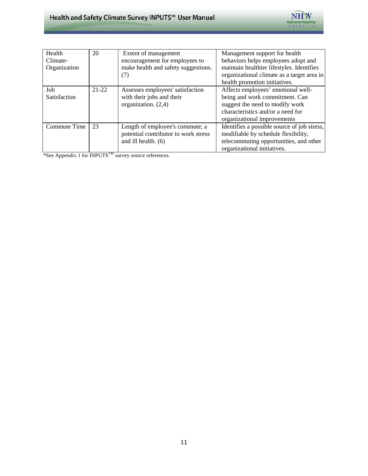

| Health<br>Climate-<br>Organization | 20        | Extent of management<br>encouragement for employees to<br>make health and safety suggestions.<br>(7) | Management support for health<br>behaviors helps employees adopt and<br>maintain healthier lifestyles. Identifies<br>organizational climate as a target area in<br>health promotion initiatives. |
|------------------------------------|-----------|------------------------------------------------------------------------------------------------------|--------------------------------------------------------------------------------------------------------------------------------------------------------------------------------------------------|
| Job<br>Satisfaction                | $21 - 22$ | Assesses employees' satisfaction<br>with their jobs and their<br>organization. $(2,4)$               | Affects employees' emotional well-<br>being and work commitment. Can<br>suggest the need to modify work<br>characteristics and/or a need for<br>organizational improvements                      |
| Commute Time                       | 23        | Length of employee's commute; a<br>potential contributor to work stress<br>and ill health. (6)       | Identifies a possible source of job stress,<br>modifiable by schedule flexibility,<br>telecommuting opportunities, and other<br>organizational initiatives.                                      |

\*See Appendix 1 for INPUTSTM survey source references.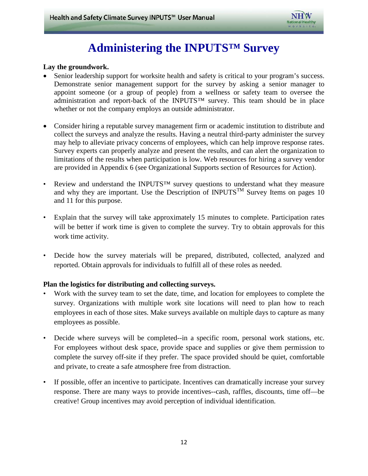

# **Administering the INPUTS™ Survey**

#### <span id="page-11-0"></span>**Lay the groundwork.**

- appoint someone (or a group of people) from a wellness or safety team to oversee the Senior leadership support for worksite health and safety is critical to your program's success. Demonstrate senior management support for the survey by asking a senior manager to administration and report-back of the INPUTS<sup>™</sup> survey. This team should be in place whether or not the company employs an outside administrator.
- collect the surveys and analyze the results. Having a neutral third-party administer the survey • Consider hiring a reputable survey management firm or academic institution to distribute and may help to alleviate privacy concerns of employees, which can help improve response rates. Survey experts can properly analyze and present the results, and can alert the organization to limitations of the results when participation is low. Web resources for hiring a survey vendor are provided in Appendix 6 (see Organizational Supports section of Resources for Action).
- Review and understand the INPUTS<sup>™</sup> survey questions to understand what they measure and why they are important. Use the Description of INPUTS<sup>TM</sup> Survey Items on pages 10 and 11 for this purpose.
- Explain that the survey will take approximately 15 minutes to complete. Participation rates will be better if work time is given to complete the survey. Try to obtain approvals for this work time activity.
- • Decide how the survey materials will be prepared, distributed, collected, analyzed and reported. Obtain approvals for individuals to fulfill all of these roles as needed.

#### **Plan the logistics for distributing and collecting surveys.**

- Work with the survey team to set the date, time, and location for employees to complete the survey. Organizations with multiple work site locations will need to plan how to reach employees in each of those sites. Make surveys available on multiple days to capture as many employees as possible.
- For employees without desk space, provide space and supplies or give them permission to Decide where surveys will be completed--in a specific room, personal work stations, etc. complete the survey off-site if they prefer. The space provided should be quiet, comfortable and private, to create a safe atmosphere free from distraction.
- If possible, offer an incentive to participate. Incentives can dramatically increase your survey response. There are many ways to provide incentives--cash, raffles, discounts, time off—be creative! Group incentives may avoid perception of individual identification.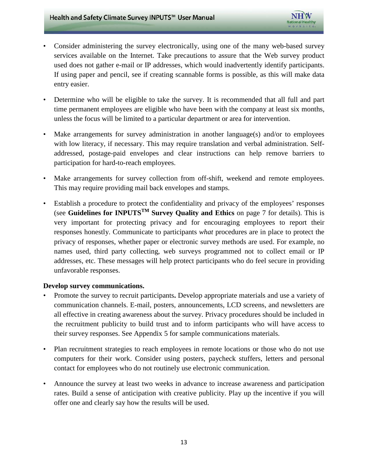- Consider administering the survey electronically, using one of the many web-based survey services available on the Internet. Take precautions to assure that the Web survey product used does not gather e-mail or IP addresses, which would inadvertently identify participants. If using paper and pencil, see if creating scannable forms is possible, as this will make data entry easier.
- Determine who will be eligible to take the survey. It is recommended that all full and part unless the focus will be limited to a particular department or area for intervention. time permanent employees are eligible who have been with the company at least six months,
- addressed, postage-paid envelopes and clear instructions can help remove barriers to • Make arrangements for survey administration in another language(s) and/or to employees with low literacy, if necessary. This may require translation and verbal administration. Selfparticipation for hard-to-reach employees.
- Make arrangements for survey collection from off-shift, weekend and remote employees. This may require providing mail back envelopes and stamps.
- names used, third party collecting, web surveys programmed not to collect email or IP • Establish a procedure to protect the confidentiality and privacy of the employees' responses (see **Guidelines for INPUTSTM Survey Quality and Ethics** on page 7 for details). This is very important for protecting privacy and for encouraging employees to report their responses honestly. Communicate to participants *what* procedures are in place to protect the privacy of responses, whether paper or electronic survey methods are used. For example, no addresses, etc. These messages will help protect participants who do feel secure in providing unfavorable responses.

#### **Develop survey communications.**

- Promote the survey to recruit participants. Develop appropriate materials and use a variety of communication channels. E-mail, posters, announcements, LCD screens, and newsletters are all effective in creating awareness about the survey. Privacy procedures should be included in the recruitment publicity to build trust and to inform participants who will have access to their survey responses. See Appendix 5 for sample communications materials.
- Plan recruitment strategies to reach employees in remote locations or those who do not use computers for their work. Consider using posters, paycheck stuffers, letters and personal contact for employees who do not routinely use electronic communication.
- rates. Build a sense of anticipation with creative publicity. Play up the incentive if you will Announce the survey at least two weeks in advance to increase awareness and participation offer one and clearly say how the results will be used.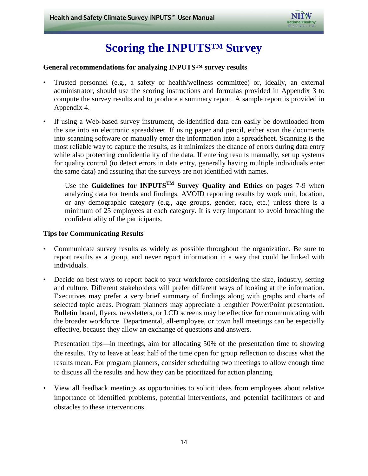

# **Scoring the INPUTS™ Survey**

#### <span id="page-13-0"></span>**General recommendations for analyzing INPUTS™ survey results**

- • Trusted personnel (e.g., a safety or health/wellness committee) or, ideally, an external administrator, should use the scoring instructions and formulas provided in Appendix 3 to compute the survey results and to produce a summary report. A sample report is provided in Appendix 4.
- most reliable way to capture the results, as it minimizes the chance of errors during data entry while also protecting confidentiality of the data. If entering results manually, set up systems • If using a Web-based survey instrument, de-identified data can easily be downloaded from the site into an electronic spreadsheet. If using paper and pencil, either scan the documents into scanning software or manually enter the information into a spreadsheet. Scanning is the for quality control (to detect errors in data entry, generally having multiple individuals enter the same data) and assuring that the surveys are not identified with names.

Use the **Guidelines for INPUTSTM Survey Quality and Ethics** on pages 7-9 when analyzing data for trends and findings. AVOID reporting results by work unit, location, or any demographic category (e.g., age groups, gender, race, etc.) unless there is a minimum of 25 employees at each category. It is very important to avoid breaching the confidentiality of the participants.

#### **Tips for Communicating Results**

- Communicate survey results as widely as possible throughout the organization. Be sure to report results as a group, and never report information in a way that could be linked with individuals.
- Decide on best ways to report back to your workforce considering the size, industry, setting and culture. Different stakeholders will prefer different ways of looking at the information. Executives may prefer a very brief summary of findings along with graphs and charts of selected topic areas. Program planners may appreciate a lengthier PowerPoint presentation. Bulletin board, flyers, newsletters, or LCD screens may be effective for communicating with the broader workforce. Departmental, all-employee, or town hall meetings can be especially effective, because they allow an exchange of questions and answers.

 the results. Try to leave at least half of the time open for group reflection to discuss what the Presentation tips—in meetings, aim for allocating 50% of the presentation time to showing results mean. For program planners, consider scheduling two meetings to allow enough time to discuss all the results and how they can be prioritized for action planning.

View all feedback meetings as opportunities to solicit ideas from employees about relative importance of identified problems, potential interventions, and potential facilitators of and obstacles to these interventions.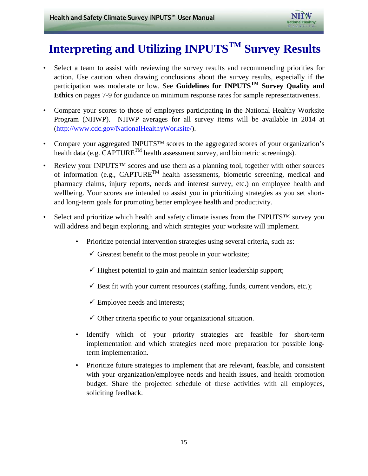# <span id="page-14-0"></span> **Interpreting and Utilizing INPUTSTM Survey Results**

- • Select a team to assist with reviewing the survey results and recommending priorities for action. Use caution when drawing conclusions about the survey results, especially if the participation was moderate or low. See **Guidelines for INPUTSTM Survey Quality and Ethics** on pages 7-9 for guidance on minimum response rates for sample representativeness.
- Program (NHWP). NHWP averages for all survey items will be available in 2014 at • Compare your scores to those of employers participating in the National Healthy Worksite [\(http://www.cdc.gov/NationalHealthyWorksite/\)](http://www.cdc.gov/NationalHealthyWorksite/).
- Compare your aggregated INPUTS<sup>TM</sup> scores to the aggregated scores of your organization's health data (e.g.  $CAPTURE^{TM}$  health assessment survey, and biometric screenings).
- Review your INPUTS<sup>™</sup> scores and use them as a planning tool, together with other sources of information (e.g.,  $CAPTURE^{TM}$  health assessments, biometric screening, medical and pharmacy claims, injury reports, needs and interest survey, etc.) on employee health and wellbeing. Your scores are intended to assist you in prioritizing strategies as you set shortand long-term goals for promoting better employee health and productivity.
- will address and begin exploring, and which strategies your worksite will implement. • Select and prioritize which health and safety climate issues from the INPUTS™ survey you
	- Prioritize potential intervention strategies using several criteria, such as:
		- $\checkmark$  Greatest benefit to the most people in your worksite;
		- $\checkmark$  Highest potential to gain and maintain senior leadership support;
		- $\checkmark$  Best fit with your current resources (staffing, funds, current vendors, etc.);
		- $\checkmark$  Employee needs and interests;
		- $\checkmark$  Other criteria specific to your organizational situation.
	- • Identify which of your priority strategies are feasible for short-term implementation and which strategies need more preparation for possible longterm implementation.
	- • Prioritize future strategies to implement that are relevant, feasible, and consistent with your organization/employee needs and health issues, and health promotion budget. Share the projected schedule of these activities with all employees, soliciting feedback.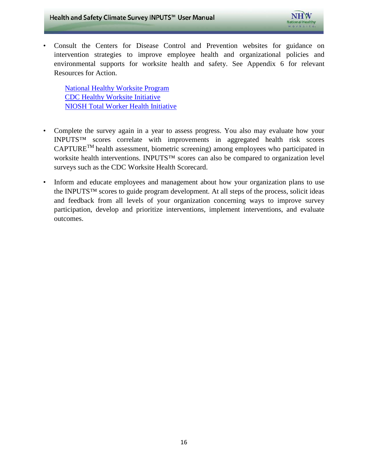

Resources for Action. • Consult the Centers for Disease Control and Prevention websites for guidance on intervention strategies to improve employee health and organizational policies and environmental supports for worksite health and safety. See Appendix 6 for relevant

Resources for Action.<br>[National Healthy Worksite Program](http://www.cdc.gov/nationalhealthyworksite) [CDC Healthy Worksite Initiative](http://www.cdc.gov/nccdphp/dnpao/hwi/) [NIOSH Total Worker Health Initiative](http://www.cdc.gov/niosh/TWH/)

- • Complete the survey again in a year to assess progress. You also may evaluate how your worksite health interventions. INPUTS™ scores can also be compared to organization level INPUTS™ scores correlate with improvements in aggregated health risk scores CAPTURETM health assessment, biometric screening) among employees who participated in surveys such as the CDC Worksite Health Scorecard.
- Inform and educate employees and management about how your organization plans to use the INPUTS™ scores to guide program development. At all steps of the process, solicit ideas and feedback from all levels of your organization concerning ways to improve survey participation, develop and prioritize interventions, implement interventions, and evaluate outcomes.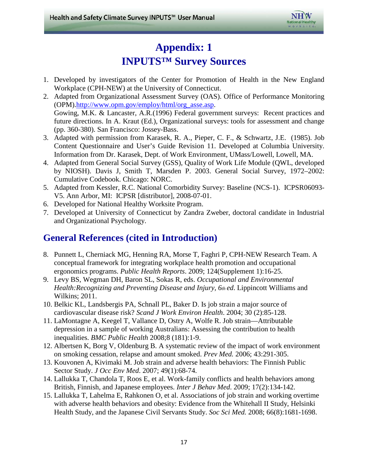

# **Appendix: 1 INPUTS™ Survey Sources**

- <span id="page-16-0"></span>1. Developed by investigators of the Center for Promotion of Health in the New England Workplace (CPH-NEW) at the University of Connecticut.
- (pp. 360-380). San Francisco: Jossey-Bass. 2. Adapted from Organizational Assessment Survey (OAS). Office of Performance Monitoring (OPM)[.http://www.opm.gov/employ/html/org\\_asse.asp.](http://www.opm.gov/employ/html/org_asse.asp) Gowing, M.K. & Lancaster, A.R.(1996) Federal government surveys: Recent practices and future directions. In A. Kraut (Ed.), Organizational surveys: tools for assessment and change
- 3. Adapted with permission from Karasek, R. A., Pieper, C. F., & Schwartz, J.E. (1985). Job Content Questionnaire and User's Guide Revision 11. Developed at Columbia University. Information from Dr. Karasek, Dept. of Work Environment, UMass/Lowell, Lowell, MA.
- 4. Adapted from General Social Survey (GSS), Quality of Work Life Module (QWL, developed by NIOSH). Davis J, Smith T, Marsden P. 2003. General Social Survey, 1972–2002: Cumulative Codebook. Chicago: NORC.
- V5. Ann Arbor, MI: ICPSR [distributor], 2008-07-01. 5. Adapted from Kessler, R.C. National Comorbidity Survey: Baseline (NCS-1). ICPSR06093-
- 6. Developed for National Healthy Worksite Program.
- 7. Developed at University of Connecticut by Zandra Zweber, doctoral candidate in Industrial and Organizational Psychology.

### **General References (cited in Introduction)**

- 8. Punnett L, Cherniack MG, Henning RA, Morse T, Faghri P, CPH-NEW Research Team. A conceptual framework for integrating workplace health promotion and occupational ergonomics programs. *Public Health Reports*. 2009; 124(Supplement 1):16-25.
- 9. Levy BS, Wegman DH, Baron SL, Sokas R, eds. *Occupational and Environmental Health:Recognizing and Preventing Disease and Injury, 6th ed*. Lippincott Williams and Wilkins; 2011.
- 10. Belkic KL, Landsbergis PA, Schnall PL, Baker D. Is job strain a major source of cardiovascular disease risk? *Scand J Work Environ Health*. 2004; 30 (2):85-128.
- 11. LaMontagne A, Keegel T, Vallance D, Ostry A, Wolfe R. Job strain—Attributable depression in a sample of working Australians: Assessing the contribution to health inequalities. *BMC Public Health* 2008;8 (181):1-9.
- 12. Albertsen K, Borg V, Oldenburg B. A systematic review of the impact of work environment on smoking cessation, relapse and amount smoked. *Prev Med.* 2006; 43:291-305.
- 13. Kouvonen A, Kivimaki M. Job strain and adverse health behaviors: The Finnish Public Sector Study. *J Occ Env Med*. 2007; 49(1):68-74.
- 14. Lallukka T, Chandola T, Roos E, et al. Work-family conflicts and health behaviors among British, Finnish, and Japanese employees. *Inter J Behav Med*. 2009; 17(2):134-142.
- with adverse health behaviors and obesity: Evidence from the Whitehall II Study, Helsinki 15. Lallukka T, Lahelma E, Rahkonen O, et al. Associations of job strain and working overtime Health Study, and the Japanese Civil Servants Study. *Soc Sci Med.* 2008; 66(8):1681-1698.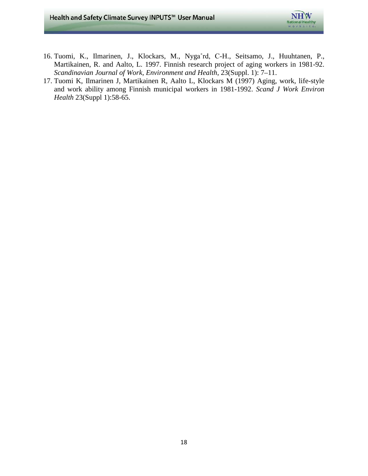

- 16. Tuomi, K., Ilmarinen, J., Klockars, M., Nyga˚rd, C-H., Seitsamo, J., Huuhtanen, P., Martikainen, R. and Aalto, L. 1997. Finnish research project of aging workers in 1981-92. *Scandinavian Journal of Work, Environment and Health*, 23(Suppl. 1): 7–11.
- 17. Tuomi K, Ilmarinen J, Martikainen R, Aalto L, Klockars M (1997) Aging, work, life-style and work ability among Finnish municipal workers in 1981-1992. *Scand J Work Environ Health* 23(Suppl 1):58-65.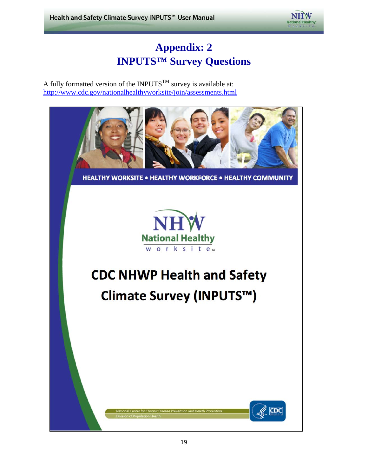

# **Appendix: 2 INPUTS™ Survey Questions**

<span id="page-18-0"></span>A fully formatted version of the INPUTS<sup>TM</sup> survey is available at: <http://www.cdc.gov/nationalhealthyworksite/join/assessments.html>



**HEALTHY WORKSITE . HEALTHY WORKFORCE . HEALTHY COMMUNITY** 



# **CDC NHWP Health and Safety**

# Climate Survey (INPUTS™)

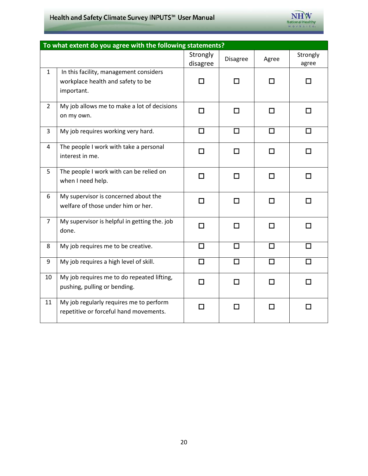### Health and Safety Climate Survey INPUTS™ User Manual



|                | To what extent do you agree with the following statements?                                |                      |                 |        |                   |  |  |
|----------------|-------------------------------------------------------------------------------------------|----------------------|-----------------|--------|-------------------|--|--|
|                |                                                                                           | Strongly<br>disagree | <b>Disagree</b> | Agree  | Strongly<br>agree |  |  |
| $\mathbf{1}$   | In this facility, management considers<br>workplace health and safety to be<br>important. | $\Box$               | П               | П      | П                 |  |  |
| $\overline{2}$ | My job allows me to make a lot of decisions<br>on my own.                                 | $\Box$               | □               | П      | П                 |  |  |
| 3              | My job requires working very hard.                                                        | $\Box$               | $\Box$          | $\Box$ | $\Box$            |  |  |
| 4              | The people I work with take a personal<br>interest in me.                                 | $\Box$               | $\Box$          | П      | □                 |  |  |
| 5              | The people I work with can be relied on<br>when I need help.                              | п                    | п               | п      | П                 |  |  |
| 6              | My supervisor is concerned about the<br>welfare of those under him or her.                | $\Box$               | П               | П      | п                 |  |  |
| $\overline{7}$ | My supervisor is helpful in getting the. job<br>done.                                     | $\Box$               | □               | П      | п                 |  |  |
| 8              | My job requires me to be creative.                                                        | $\Box$               | $\Box$          | $\Box$ | □                 |  |  |
| 9              | My job requires a high level of skill.                                                    | $\Box$               | П               | П      | П                 |  |  |
| 10             | My job requires me to do repeated lifting,<br>pushing, pulling or bending.                | $\Box$               | п               | П      | п                 |  |  |
| 11             | My job regularly requires me to perform<br>repetitive or forceful hand movements.         | $\Box$               | П               | П      | □                 |  |  |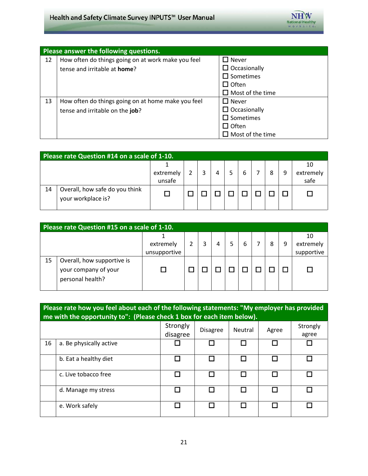

|    | Please answer the following questions.             |                         |  |  |  |  |
|----|----------------------------------------------------|-------------------------|--|--|--|--|
| 12 | How often do things going on at work make you feel | $\square$ Never         |  |  |  |  |
|    | tense and irritable at home?                       | $\Box$ Occasionally     |  |  |  |  |
|    |                                                    | $\square$ Sometimes     |  |  |  |  |
|    |                                                    | $\Box$ Often            |  |  |  |  |
|    |                                                    | $\Box$ Most of the time |  |  |  |  |
| 13 | How often do things going on at home make you feel | $\square$ Never         |  |  |  |  |
|    | tense and irritable on the job?                    | $\Box$ Occasionally     |  |  |  |  |
|    |                                                    | $\square$ Sometimes     |  |  |  |  |
|    |                                                    | $\Box$ Often            |  |  |  |  |
|    |                                                    | Most of the time        |  |  |  |  |

| Please rate Question #14 on a scale of 1-10. |                                                      |                     |  |  |   |  |   |   |   |                         |
|----------------------------------------------|------------------------------------------------------|---------------------|--|--|---|--|---|---|---|-------------------------|
|                                              |                                                      | extremely<br>unsafe |  |  | 4 |  | 6 | 8 | 9 | 10<br>extremely<br>safe |
| 14                                           | Overall, how safe do you think<br>your workplace is? |                     |  |  |   |  |   |   |   |                         |

| Please rate Question #15 on a scale of 1-10. |                                                                        |                           |  |  |   |  |   |   |   |                               |
|----------------------------------------------|------------------------------------------------------------------------|---------------------------|--|--|---|--|---|---|---|-------------------------------|
|                                              |                                                                        | extremely<br>unsupportive |  |  | 4 |  | 6 | 8 | 9 | 10<br>extremely<br>supportive |
| 15                                           | Overall, how supportive is<br>your company of your<br>personal health? |                           |  |  |   |  |   |   |   |                               |

|    | Please rate how you feel about each of the following statements: "My employer has provided<br>me with the opportunity to": (Please check 1 box for each item below). |                      |                 |         |       |                   |  |
|----|----------------------------------------------------------------------------------------------------------------------------------------------------------------------|----------------------|-----------------|---------|-------|-------------------|--|
|    |                                                                                                                                                                      | Strongly<br>disagree | <b>Disagree</b> | Neutral | Agree | Strongly<br>agree |  |
| 16 | a. Be physically active                                                                                                                                              |                      |                 |         |       |                   |  |
|    | b. Eat a healthy diet                                                                                                                                                |                      |                 |         |       |                   |  |
|    | c. Live tobacco free                                                                                                                                                 |                      |                 |         |       |                   |  |
|    | d. Manage my stress                                                                                                                                                  |                      |                 |         |       |                   |  |
|    | e. Work safely                                                                                                                                                       |                      |                 |         |       |                   |  |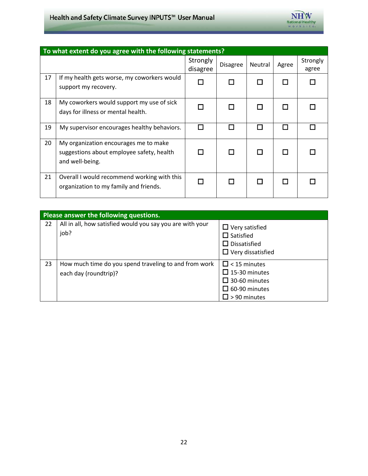### Health and Safety Climate Survey INPUTS™ User Manual



|    | To what extent do you agree with the following statements?                                            |                      |                 |         |       |                   |  |  |
|----|-------------------------------------------------------------------------------------------------------|----------------------|-----------------|---------|-------|-------------------|--|--|
|    |                                                                                                       | Strongly<br>disagree | <b>Disagree</b> | Neutral | Agree | Strongly<br>agree |  |  |
| 17 | If my health gets worse, my coworkers would<br>support my recovery.                                   |                      |                 |         |       |                   |  |  |
| 18 | My coworkers would support my use of sick<br>days for illness or mental health.                       |                      |                 |         |       |                   |  |  |
| 19 | My supervisor encourages healthy behaviors.                                                           |                      |                 |         |       |                   |  |  |
| 20 | My organization encourages me to make<br>suggestions about employee safety, health<br>and well-being. |                      |                 |         |       |                   |  |  |
| 21 | Overall I would recommend working with this<br>organization to my family and friends.                 |                      |                 |         |       |                   |  |  |

|    | Please answer the following questions.                                         |                                                                                                             |  |  |  |  |  |
|----|--------------------------------------------------------------------------------|-------------------------------------------------------------------------------------------------------------|--|--|--|--|--|
| 22 | All in all, how satisfied would you say you are with your<br>job?              | $\Box$ Very satisfied<br>$\square$ Satisfied<br>$\square$ Dissatisfied<br>$\Box$ Very dissatisfied          |  |  |  |  |  |
| 23 | How much time do you spend traveling to and from work<br>each day (roundtrip)? | $\Box$ < 15 minutes<br>$\Box$ 15-30 minutes<br>$\Box$ 30-60 minutes<br>$\Box$ 60-90 minutes<br>> 90 minutes |  |  |  |  |  |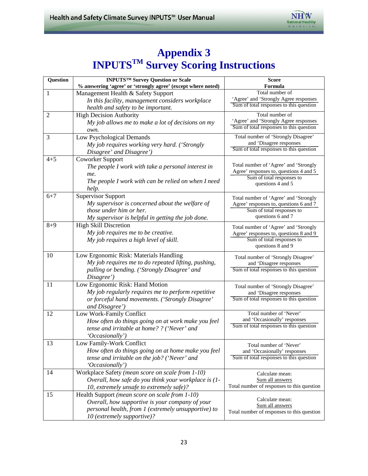

### **Appendix 3 INPUTSTM Survey Scoring Instructions**

| Question       | <b>INPUTSTM Survey Question or Scale</b>                     | <b>Score</b>                               |
|----------------|--------------------------------------------------------------|--------------------------------------------|
|                | % answering 'agree' or 'strongly agree' (except where noted) | Formula                                    |
| $\mathbf{1}$   | Management Health & Safety Support                           | Total number of                            |
|                | In this facility, management considers workplace             | 'Agree' and 'Strongly Agree responses      |
|                | health and safety to be important.                           | Sum of total responses to this question    |
| $\overline{2}$ | <b>High Decision Authority</b>                               | Total number of                            |
|                | My job allows me to make a lot of decisions on my            | 'Agree' and 'Strongly Agree responses      |
|                | own.                                                         | Sum of total responses to this question    |
| 3              | Low Psychological Demands                                    | Total number of 'Strongly Disagree'        |
|                | My job requires working very hard. ('Strongly                | and 'Disagree responses                    |
|                | Disagree' and Disagree')                                     | Sum of total responses to this question    |
| $4 + 5$        | <b>Coworker Support</b>                                      |                                            |
|                | The people I work with take a personal interest in           | Total number of 'Agree' and 'Strongly      |
|                | me.                                                          | Agree' responses to, questions 4 and 5     |
|                | The people I work with can be relied on when I need          | Sum of total responses to                  |
|                | help.                                                        | questions 4 and 5                          |
| $6 + 7$        | <b>Supervisor Support</b>                                    | Total number of 'Agree' and 'Strongly      |
|                | My supervisor is concerned about the welfare of              | Agree' responses to, questions 6 and 7     |
|                | those under him or her.                                      | Sum of total responses to                  |
|                | My supervisor is helpful in getting the job done.            | questions 6 and 7                          |
| $8 + 9$        | <b>High Skill Discretion</b>                                 | Total number of 'Agree' and 'Strongly      |
|                | My job requires me to be creative.                           | Agree' responses to, questions 8 and 9     |
|                | My job requires a high level of skill.                       | Sum of total responses to                  |
|                |                                                              | questions 8 and 9                          |
| 10             | Low Ergonomic Risk: Materials Handling                       | Total number of 'Strongly Disagree'        |
|                | My job requires me to do repeated lifting, pushing,          | and 'Disagree responses                    |
|                | pulling or bending. ('Strongly Disagree' and                 | Sum of total responses to this question    |
|                | Disagree')                                                   |                                            |
| 11             | Low Ergonomic Risk: Hand Motion                              | Total number of 'Strongly Disagree'        |
|                | My job regularly requires me to perform repetitive           | and 'Disagree responses                    |
|                | or forceful hand movements. ('Strongly Disagree'             | Sum of total responses to this question    |
|                | and Disagree')                                               |                                            |
| 12             | Low Work-Family Conflict                                     | Total number of 'Never'                    |
|                | How often do things going on at work make you feel           | and 'Occasionally' responses               |
|                | tense and irritable at home? ? ('Never' and                  | Sum of total responses to this question    |
|                | 'Occasionally')                                              |                                            |
| 13             | Low Family-Work Conflict                                     | Total number of 'Never'                    |
|                | How often do things going on at home make you feel           | and 'Occasionally' responses               |
|                | tense and irritable on the job? ('Never' and                 | Sum of total responses to this question    |
|                | 'Occasionally')                                              |                                            |
| 14             | Workplace Safety (mean score on scale from 1-10)             | Calculate mean:                            |
|                | Overall, how safe do you think your workplace is (1-         | Sum all answers                            |
|                | 10, extremely unsafe to extremely safe)?                     | Total number of responses to this question |
| 15             | Health Support (mean score on scale from 1-10)               |                                            |
|                | Overall, how supportive is your company of your              | Calculate mean:<br>Sum all answers         |
|                | personal health, from 1 (extremely unsupportive) to          | Total number of responses to this question |
|                | 10 (extremely supportive)?                                   |                                            |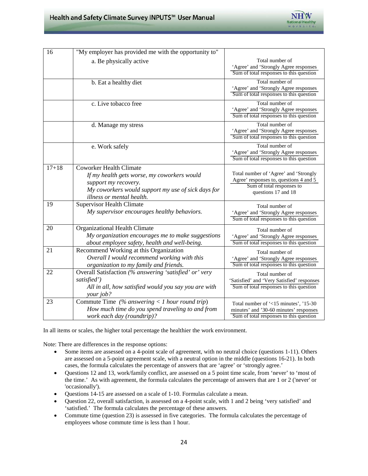

| 16        | "My employer has provided me with the opportunity to"                                                                                                                                    |                                                                                                                                     |
|-----------|------------------------------------------------------------------------------------------------------------------------------------------------------------------------------------------|-------------------------------------------------------------------------------------------------------------------------------------|
|           | a. Be physically active                                                                                                                                                                  | Total number of<br>'Agree' and 'Strongly Agree responses<br>Sum of total responses to this question                                 |
|           | b. Eat a healthy diet                                                                                                                                                                    | Total number of<br>'Agree' and 'Strongly Agree responses<br>Sum of total responses to this question                                 |
|           | c. Live tobacco free                                                                                                                                                                     | Total number of<br>'Agree' and 'Strongly Agree responses<br>Sum of total responses to this question                                 |
|           | d. Manage my stress                                                                                                                                                                      | Total number of<br>'Agree' and 'Strongly Agree responses<br>Sum of total responses to this question                                 |
|           | e. Work safely                                                                                                                                                                           | Total number of<br>'Agree' and 'Strongly Agree responses<br>Sum of total responses to this question                                 |
| $17 + 18$ | <b>Coworker Health Climate</b><br>If my health gets worse, my coworkers would<br>support my recovery.<br>My coworkers would support my use of sick days for<br>illness or mental health. | Total number of 'Agree' and 'Strongly<br>Agree' responses to, questions 4 and 5<br>Sum of total responses to<br>questions 17 and 18 |
| 19        | <b>Supervisor Health Climate</b><br>My supervisor encourages healthy behaviors.                                                                                                          | Total number of<br>'Agree' and 'Strongly Agree responses<br>Sum of total responses to this question                                 |
| 20        | Organizational Health Climate<br>My organization encourages me to make suggestions<br>about employee safety, health and well-being.                                                      | Total number of<br>'Agree' and 'Strongly Agree responses<br>Sum of total responses to this question                                 |
| 21        | Recommend Working at this Organization<br>Overall I would recommend working with this<br>organization to my family and friends.                                                          | Total number of<br>'Agree' and 'Strongly Agree responses<br>Sum of total responses to this question                                 |
| 22        | Overall Satisfaction (% answering 'satisfied' or' very<br>satisfied')<br>All in all, how satisfied would you say you are with<br>your job?                                               | Total number of<br>'Satisfied' and 'Very Satisfied' responses<br>Sum of total responses to this question                            |
| 23        | Commute Time $(\%$ answering < 1 hour round trip)<br>How much time do you spend traveling to and from<br>work each day (roundtrip)?                                                      | Total number of '<15 minutes', '15-30<br>minutes' and '30-60 minutes' responses<br>Sum of total responses to this question          |

In all items or scales, the higher total percentage the healthier the work environment.

Note: There are differences in the response options:

- Some items are assessed on a 4-point scale of agreement, with no neutral choice (questions 1-11). Others are assessed on a 5-point agreement scale, with a neutral option in the middle (questions 16-21). In both cases, the formula calculates the percentage of answers that are 'agree' or 'strongly agree.'
- the time.' As with agreement, the formula calculates the percentage of answers that are 1 or 2 ('never' or • Questions 12 and 13, work/family conflict, are assessed on a 5 point time scale, from 'never' to 'most of 'occasionally').
- • Questions 14-15 are assessed on a scale of 1-10. Formulas calculate a mean.
- • Question 22, overall satisfaction, is assessed on a 4-point scale, with 1 and 2 being 'very satisfied' and 'satisfied.' The formula calculates the percentage of these answers.
- Commute time (question 23) is assessed in five categories. The formula calculates the percentage of employees whose commute time is less than 1 hour.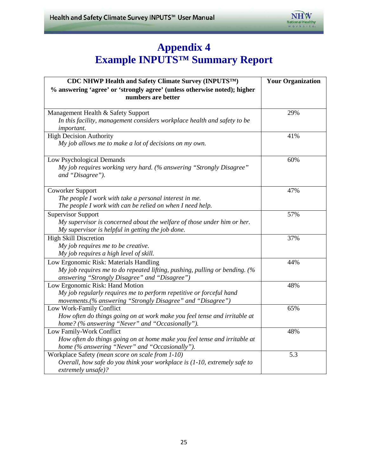

### **Appendix 4 Example INPUTS™ Summary Report**

| <b>CDC NHWP Health and Safety Climate Survey (INPUTSTM)</b>                                                                 | <b>Your Organization</b> |
|-----------------------------------------------------------------------------------------------------------------------------|--------------------------|
| % answering 'agree' or 'strongly agree' (unless otherwise noted); higher<br>numbers are better                              |                          |
| Management Health & Safety Support                                                                                          | 29%                      |
| In this facility, management considers workplace health and safety to be<br>important.                                      |                          |
| <b>High Decision Authority</b>                                                                                              | 41%                      |
| My job allows me to make a lot of decisions on my own.                                                                      |                          |
| Low Psychological Demands                                                                                                   | 60%                      |
| My job requires working very hard. (% answering "Strongly Disagree"<br>and "Disagree").                                     |                          |
| <b>Coworker Support</b>                                                                                                     | 47%                      |
| The people I work with take a personal interest in me.                                                                      |                          |
| The people I work with can be relied on when I need help.                                                                   |                          |
| <b>Supervisor Support</b>                                                                                                   | 57%                      |
| My supervisor is concerned about the welfare of those under him or her.                                                     |                          |
| My supervisor is helpful in getting the job done.                                                                           |                          |
| <b>High Skill Discretion</b>                                                                                                | 37%                      |
| My job requires me to be creative.                                                                                          |                          |
| My job requires a high level of skill.                                                                                      |                          |
| Low Ergonomic Risk: Materials Handling                                                                                      | 44%                      |
| My job requires me to do repeated lifting, pushing, pulling or bending. (%<br>answering "Strongly Disagree" and "Disagree") |                          |
| Low Ergonomic Risk: Hand Motion                                                                                             | 48%                      |
| My job regularly requires me to perform repetitive or forceful hand                                                         |                          |
| movements.(% answering "Strongly Disagree" and "Disagree")                                                                  |                          |
| Low Work-Family Conflict                                                                                                    | 65%                      |
| How often do things going on at work make you feel tense and irritable at                                                   |                          |
| home? (% answering "Never" and "Occasionally").                                                                             |                          |
| Low Family-Work Conflict                                                                                                    | 48%                      |
| How often do things going on at home make you feel tense and irritable at                                                   |                          |
| home (% answering "Never" and "Occasionally").                                                                              |                          |
| Workplace Safety (mean score on scale from 1-10)                                                                            | 5.3                      |
| Overall, how safe do you think your workplace is (1-10, extremely safe to                                                   |                          |
| extremely unsafe)?                                                                                                          |                          |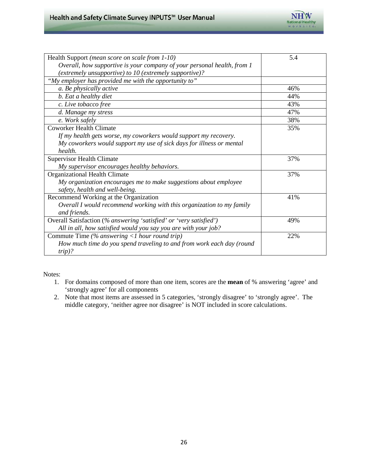

| Health Support (mean score on scale from 1-10)                          | 5.4 |
|-------------------------------------------------------------------------|-----|
| Overall, how supportive is your company of your personal health, from 1 |     |
| (extremely unsupportive) to 10 (extremely supportive)?                  |     |
| "My employer has provided me with the opportunity to"                   |     |
| a. Be physically active                                                 | 46% |
| b. Eat a healthy diet                                                   | 44% |
| c. Live tobacco free                                                    | 43% |
| d. Manage my stress                                                     | 47% |
| e. Work safely                                                          | 38% |
| <b>Coworker Health Climate</b>                                          | 35% |
| If my health gets worse, my coworkers would support my recovery.        |     |
| My coworkers would support my use of sick days for illness or mental    |     |
| health.                                                                 |     |
| <b>Supervisor Health Climate</b>                                        | 37% |
| My supervisor encourages healthy behaviors.                             |     |
| Organizational Health Climate                                           | 37% |
| My organization encourages me to make suggestions about employee        |     |
| safety, health and well-being.                                          |     |
| Recommend Working at the Organization                                   | 41% |
| Overall I would recommend working with this organization to my family   |     |
| and friends.                                                            |     |
| Overall Satisfaction (% answering 'satisfied' or 'very satisfied')      | 49% |
| All in all, how satisfied would you say you are with your job?          |     |
| Commute Time (% answering $\langle$ hour round trip)                    | 22% |
| How much time do you spend traveling to and from work each day (round   |     |
| $trip$ )?                                                               |     |

Notes:

- 1. For domains composed of more than one item, scores are the **mean** of % answering 'agree' and 'strongly agree' for all components
- 2. Note that most items are assessed in 5 categories, 'strongly disagree' to 'strongly agree'. The middle category, 'neither agree nor disagree' is NOT included in score calculations.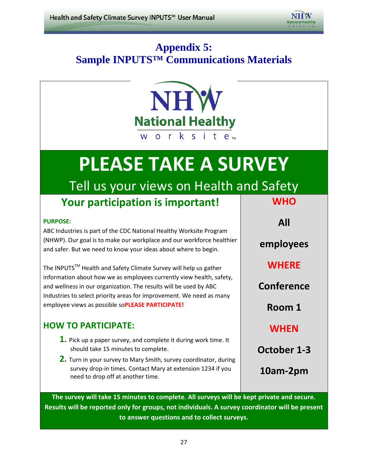

# **Appendix 5: Sample INPUTS™ Communications Materials**



# **PLEASE TAKE A SURVEY**

# Tell us your views on Health and Safety

## **Your participation is important!**

#### **PURPOSE:**

 and safer. But we need to know your ideas about where to begin. ABC Industries is part of the CDC National Healthy Worksite Program (NHWP). Our goal is to make our workplace and our workforce healthier

The INPUTS<sup>™</sup> Health and Safety Climate Survey will help us gather information about how we as employees currently view health, safety, and wellness in our organization. The results will be used by ABC Industries to select priority areas for improvement. We need as many employee views as possible so**PLEASE PARTICIPATE!** 

### **HOW TO PARTICIPATE:**

- should take 15 minutes to complete. **1.** Pick up a paper survey, and complete it during work time. It
- survey drop-in times. Contact Mary at extension 1234 if you **2.** Turn in your survey to Mary Smith, survey coordinator, during need to drop off at another time.

**WHO All employees WHERE Conference Room 1 WHEN October 1-3** 

**10am-2pm** 

 **The survey will take 15 minutes to complete. All surveys will be kept private and secure. Results will be reported only for groups, not individuals. A survey coordinator will be present to answer questions and to collect surveys.**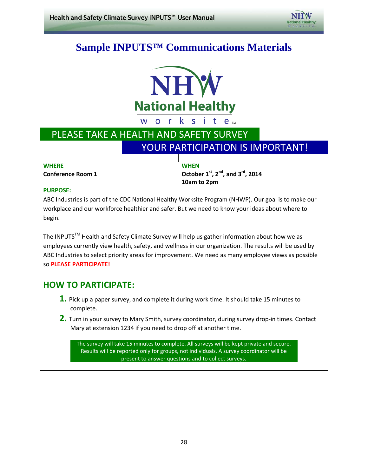

### **Sample INPUTS™ Communications Materials**



### PLEASE TAKE A HEALTH AND SAFETY SURVEY YOUR PARTICIPATION IS IMPORTANT!

#### **WHERE WHEN**

**Conference Room 1** 

**, 2nd , and 3rd, 2014 10am to 2pm** 

#### **PURPOSE:**

ABC Industries is part of the CDC National Healthy Worksite Program (NHWP). Our goal is to make our workplace and our workforce healthier and safer. But we need to know your ideas about where to begin.

The INPUTS™ Health and Safety Climate Survey will help us gather information about how we as employees currently view health, safety, and wellness in our organization. The results will be used by ABC Industries to select priority areas for improvement. We need as many employee views as possible so **PLEASE PARTICIPATE!** 

### **HOW TO PARTICIPATE:**

- **1.** Pick up a paper survey, and complete it during work time. It should take 15 minutes to complete.
- **2.** Turn in your survey to Mary Smith, survey coordinator, during survey drop-in times. Contact Mary at extension 1234 if you need to drop off at another time.

The survey will take 15 minutes to complete. All surveys will be kept private and secure. Results will be reported only for groups, not individuals. A survey coordinator will be present to answer questions and to collect surveys.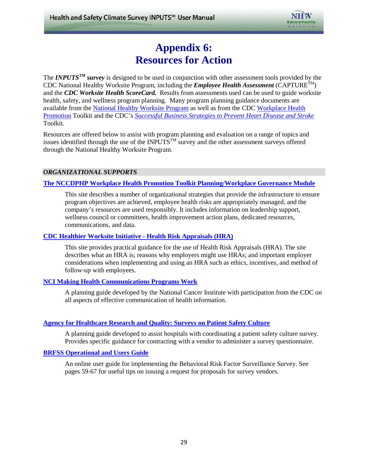

### **Appendix 6: Resources for Action**

<span id="page-28-0"></span> [Promotion](http://www.cdc.gov/workplacehealthpromotion) Toolkit and the CDC's *[Successful Business Strategies to Prevent Heart Disease and Stroke](http://www.cdc.gov/dhdsp/pubs/employers_toolkit.htm)*  The *INPUTS<sup>TM</sup>* survey is designed to be used in conjunction with other assessment tools provided by the CDC National Healthy Worksite Program, including the *Employee Health Assessment* (CAPTURE<sup>TM</sup>) and the *CDC Worksite Health ScoreCard.* Results from assessments used can be used to guide worksite health, safety, and wellness program planning. Many program planning guidance documents are available from the [National Healthy Worksite Program](http://www.cdc.gov/NationalHealthyWorksite/) as well as from the CDC [Workplace Health](http://www.cdc.gov/workplacehealthpromotion)  Toolkit.

 Resources are offered below to assist with program planning and evaluation on a range of topics and issues identified through the use of the INPUTS<sup>TM</sup> survey and the other assessment surveys offered through the National Healthy Worksite Program.

#### *ORGANIZATIONAL SUPPORTS*

#### **[The NCCDPHP Workplace Health Promotion Toolkit Planning/Workplace Governance Module](http://www.cdc.gov/workplacehealthpromotion/planning/index.html)**

 This site describes a number of organizational strategies that provide the infrastructure to ensure wellness council or committees, health improvement action plans, dedicated resources, program objectives are achieved, employee health risks are appropriately managed, and the company's resources are used responsibly. It includes information on leadership support, communications, and data.

#### **[CDC Healthier Worksite Initiative -](http://www.cdc.gov/nccdphp/dnpao/hwi/programdesign/health_risk_appraisals.htm) Health Risk Appraisals (HRA)**

This site provides practical guidance for the use of Health Risk Appraisals (HRA). The site describes what an HRA is; reasons why employers might use HRAs; and important employer considerations when implementing and using an HRA such as ethics, incentives, and method of follow-up with employees.

#### **[NCI Making Health Communications Programs Work](http://www.cancer.gov/cancertopics/cancerlibrary/pinkbook/)**

 all aspects of effective communication of health information. A planning guide developed by the National Cancer Institute with participation from the CDC on

#### **[Agency for Healthcare Research and Quality: Surveys on Patient Safety Culture](http://www.ahrq.gov/professionals/quality-patient-safety/patientsafetyculture/index.html)**

A planning guide developed to assist hospitals with coordinating a patient safety culture survey. Provides specific guidance for contracting with a vendor to administer a survey questionnaire.

#### **[BRFSS Operational and Users Guide](ftp://ftp.cdc.gov/pub/Data/Brfss/userguide.pdf)**

 pages 59-67 for useful tips on issuing a request for proposals for survey vendors. An online user guide for implementing the Behavioral Risk Factor Surveillance Survey. See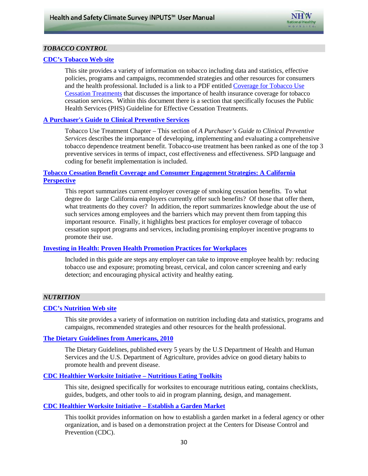

#### *TOBACCO CONTROL*

#### **[CDC's Tobacco Web site](http://www.cdc.gov/tobacco/)**

 This site provides a variety of information on tobacco including data and statistics, effective policies, programs and campaigns, recommended strategies and other resources for consumers [Cessation Treatments](http://www.cdc.gov/tobacco/quit_smoking/cessation/pdfs/reimbursement_brochure.pdf) that discusses the importance of health insurance coverage for tobacco  cessation services. Within this document there is a section that specifically focuses the Public and the health professional. Included is a link to a PDF entitled [Coverage for Tobacco Use](http://www.cdc.gov/tobacco/quit_smoking/cessation/pdfs/reimbursement_brochure.pdf)  Health Services (PHS) Guideline for Effective Cessation Treatments.

#### **[A Purchaser's Guide to Clinical Preventive Services](http://www.businessgrouphealth.org/benefitstopics/topics/purchasers/fullguide.pdf)**

 Tobacco Use Treatment Chapter – This section of *A Purchaser's Guide to Clinical Preventive*  tobacco dependence treatment benefit. Tobacco-use treatment has been ranked as one of the top 3 preventive services in terms of impact, cost effectiveness and effectiveness. SPD language and coding for benefit implementation is included. *Services* describes the importance of developing, implementing and evaluating a comprehensive

#### **[Tobacco Cessation Benefit Coverage and Consumer Engagement Strategies: A California](http://www.pbgh.org/storage/documents/reports/PBGH-CDC_TobaccoCessation_06-2008.pdf)  [Perspective](http://www.pbgh.org/storage/documents/reports/PBGH-CDC_TobaccoCessation_06-2008.pdf)**

 This report summarizes current employer coverage of smoking cessation benefits. To what degree do large California employers currently offer such benefits? Of those that offer them, important resource. Finally, it highlights best practices for employer coverage of tobacco what treatments do they cover? In addition, the report summarizes knowledge about the use of such services among employees and the barriers which may prevent them from tapping this cessation support programs and services, including promising employer incentive programs to promote their use.

#### **[Investing in Health: Proven Health Promotion Practices for Workplaces](http://www.prevent.org/downloadStart.aspx?id=20)**

Included in this guide are steps any employer can take to improve employee health by: reducing tobacco use and exposure; promoting breast, cervical, and colon cancer screening and early detection; and encouraging physical activity and healthy eating.

#### *NUTRITION*

#### **[CDC's Nutrition Web site](http://www.cdc.gov/nutrition/index.html)**

 campaigns, recommended strategies and other resources for the health professional. This site provides a variety of information on nutrition including data and statistics, programs and

#### **[The Dietary Guidelines from Americans, 2010](http://health.gov/dietaryguidelines/default.asp)**

The Dietary Guidelines, published every 5 years by the U.S Department of Health and Human Services and the U.S. Department of Agriculture, provides advice on good dietary habits to promote health and prevent disease.

#### **[CDC Healthier Worksite Initiative – Nutritious Eating Toolkits](http://www.cdc.gov/nccdphp/dnpao/hwi/toolkits/nutrition.htm)**

 guides, budgets, and other tools to aid in program planning, design, and management. This site, designed specifically for worksites to encourage nutritious eating, contains checklists,

#### **[CDC Healthier Worksite Initiative – Establish a Garden Market](http://www.cdc.gov/nccdphp/dnpao/hwi/toolkits/gardenmarket/index.htm)**

This toolkit provides information on how to establish a garden market in a federal agency or other organization, and is based on a demonstration project at the Centers for Disease Control and Prevention (CDC).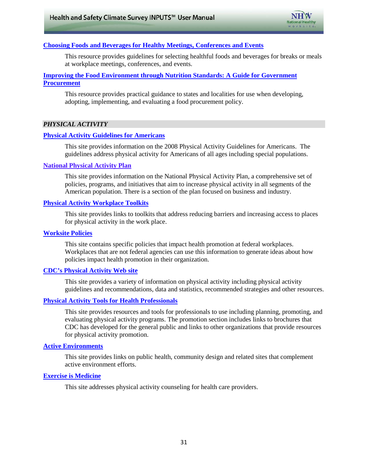

#### **Choosing Foods and Beverages for Healthy Meetings, Conferences and Events**

This resource provides guidelines for selecting healthful foods and beverages for breaks or meals at workplace meetings, conferences, and events.

#### **Improving the Food Environment through Nutrition Standards: A Guide for Government [Procurement](http://www.cdc.gov/salt/pdfs/DHDSP_Procurement_Guide.pdf)**

 This resource provides practical guidance to states and localities for use when developing, adopting, implementing, and evaluating a food procurement policy.

#### *PHYSICAL ACTIVITY*

#### **[Physical Activity Guidelines for Americans](http://www.health.gov/paguidelines)**

This site provides information on the 2008 Physical Activity Guidelines for Americans. The guidelines address physical activity for Americans of all ages including special populations.

#### **[National Physical Activity Plan](http://www.physicalactivityplan.org/)**

This site provides information on the National Physical Activity Plan, a comprehensive set of policies, programs, and initiatives that aim to increase physical activity in all segments of the American population. There is a section of the plan focused on business and industry.

#### **[Physical Activity Workplace Toolkits](http://www.cdc.gov/nccdphp/dnpao/hwi/toolkits/index.htm#Exercise)**

 This site provides links to toolkits that address reducing barriers and increasing access to places for physical activity in the work place.

#### **[Worksite Policies](http://www.cdc.gov/nccdphp/dnpao/hwi/policy/index.htm)**

 This site contains specific policies that impact health promotion at federal workplaces. Workplaces that are not federal agencies can use this information to generate ideas about how policies impact health promotion in their organization.

#### **[CDC's Physical Activity Web site](http://www.cdc.gov/physicalactivity/)**

 This site provides a variety of information on physical activity including physical activity guidelines and recommendations, data and statistics, recommended strategies and other resources.

#### **[Physical Activity Tools for Health Professionals](http://www.cdc.gov/physicalactivity/professionals/index.html)**

 CDC has developed for the general public and links to other organizations that provide resources This site provides resources and tools for professionals to use including planning, promoting, and evaluating physical activity programs. The promotion section includes links to brochures that for physical activity promotion.

#### **[Active Environments](http://www.cdc.gov/physicalactivity/professionals/environment/index.html)**

 This site provides links on public health, community design and related sites that complement active environment efforts.

#### **[Exercise is Medicine](http://exerciseismedicine.org/fitpros.htm)**

This site addresses physical activity counseling for health care providers.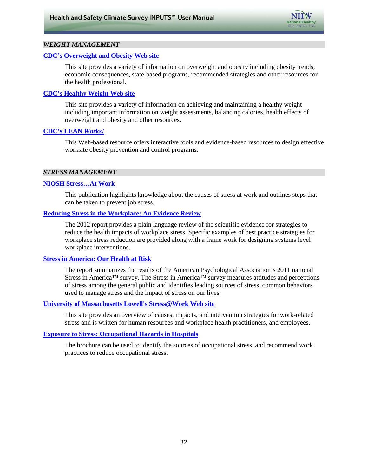

#### *WEIGHT MANAGEMENT*

#### **[CDC's Overweight and Obesity Web site](http://www.cdc.gov/obesity/index.html)**

This site provides a variety of information on overweight and obesity including obesity trends, economic consequences, state-based programs, recommended strategies and other resources for the health professional.

#### **[CDC's Healthy Weight Web site](http://www.cdc.gov/healthyweight/index.html)**

This site provides a variety of information on achieving and maintaining a healthy weight including important information on weight assessments, balancing calories, health effects of overweight and obesity and other resources.

#### **[CDC's LEAN](http://www.cdc.gov/leanworks/)** *Works!*

This Web-based resource offers interactive tools and evidence-based resources to design effective worksite obesity prevention and control programs.

#### *STRESS MANAGEMENT*

#### **[NIOSH Stress…At Work](http://www.cdc.gov/niosh/docs/99-101/)**

 can be taken to prevent job stress. This publication highlights knowledge about the causes of stress at work and outlines steps that

#### **[Reducing Stress in the Workplace: An Evidence Review](http://www.vichealth.vic.gov.au/Publications/Economic-participation/Creating_Healthy_Workplaces.aspx)**

 The 2012 report provides a plain language review of the scientific evidence for strategies to reduce the health impacts of workplace stress. Specific examples of best practice strategies for workplace stress reduction are provided along with a frame work for designing systems level workplace interventions.

#### **[Stress in America: Our Health at Risk](http://www.apa.org/news/press/releases/stress/index.aspx)**

Stress in America™ survey. The Stress in America™ survey measures attitudes and perceptions used to manage stress and the impact of stress on our lives. The report summarizes the results of the American Psychological Association's 2011 national of stress among the general public and identifies leading sources of stress, common behaviors

#### **[University of Massachusetts Lowell's Stress@Work Web site](http://www.uml.edu/Research/centers/CPH-NEW/stress-at-work/default.aspx)**

This site provides an overview of causes, impacts, and intervention strategies for work-related stress and is written for human resources and workplace health practitioners, and employees.

#### **[Exposure to Stress: Occupational Hazards in Hospitals](http://www.cdc.gov/niosh/docs/2008-136/default.html)**

 The brochure can be used to identify the sources of occupational stress, and recommend work practices to reduce occupational stress.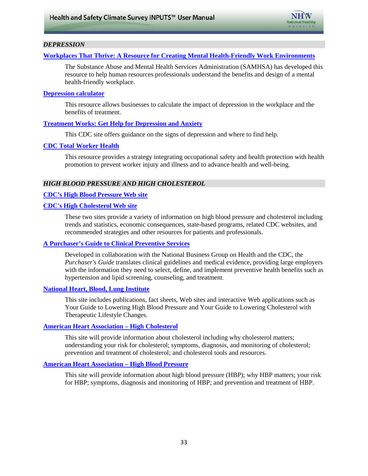

#### *DEPRESSION*

#### **[Workplaces That Thrive: A Resource for Creating Mental Health-Friendly Work Environments](http://www.acmhck.org/common/modules/documentcenter2/documentview.aspx?DID=70)**

The Substance Abuse and Mental Health Services Administration (SAMHSA) has developed this resource to help human resources professionals understand the benefits and design of a mental health-friendly workplace.

#### **[Depression calculator](http://www.depressioncalculator.com/Welcome.asp)**

This resource allows businesses to calculate the impact of depression in the workplace and the benefits of treatment.

#### **[Treatment Works: Get Help for Depression and Anxiety](http://www.cdc.gov/Features/Depression/)**

This CDC site offers guidance on the signs of depression and where to find help.

#### **[CDC Total Worker Health](http://www.cdc.gov/niosh/TWH/)**

 promotion to prevent worker injury and illness and to advance health and well-being. This resource provides a strategy integrating occupational safety and health protection with health

#### *HIGH BLOOD PRESSURE AND HIGH CHOLESTEROL*

#### **[CDC's High Blood Pressure Web site](http://www.cdc.gov/bloodpressure/)**

#### **[CDC's High Cholesterol Web site](http://www.cdc.gov/cholesterol/)**

 These two sites provide a variety of information on high blood pressure and cholesterol including trends and statistics, economic consequences, state-based programs, related CDC websites, and recommended strategies and other resources for patients and professionals.

#### **[A Purchaser's Guide to Clinical Preventive Services](http://www.businessgrouphealth.org/preventive/background.cfm#guide)**

Developed in collaboration with the National Business Group on Health and the CDC, the *Purchaser's Guide* translates clinical guidelines and medical evidence, providing large employers with the information they need to select, define, and implement preventive health benefits such as hypertension and lipid screening, counseling, and treatment.

#### **[National Heart, Blood, Lung Institute](http://www.nhlbi.nih.gov/health/public/heart/index.htm#hbp)**

This site includes publications, fact sheets, Web sites and interactive Web applications such as Your Guide to Lowering High Blood Pressure and Your Guide to Lowering Cholesterol with Therapeutic Lifestyle Changes.

#### **[American Heart Association – High Cholesterol](http://www.heart.org/HEARTORG/Conditions/Cholesterol/Cholesterol_UCM_001089_SubHomePage.jsp)**

 understanding your risk for cholesterol; symptoms, diagnosis, and monitoring of cholesterol; This site will provide information about cholesterol including why cholesterol matters; prevention and treatment of cholesterol; and cholesterol tools and resources.

#### **[American Heart Association – High Blood Pressure](http://www.heart.org/HEARTORG/Conditions/HighBloodPressure/High-Blood-Pressure_UCM_002020_SubHomePage.jsp)**

 This site will provide information about high blood pressure (HBP); why HBP matters; your risk for HBP; symptoms, diagnosis and monitoring of HBP; and prevention and treatment of HBP.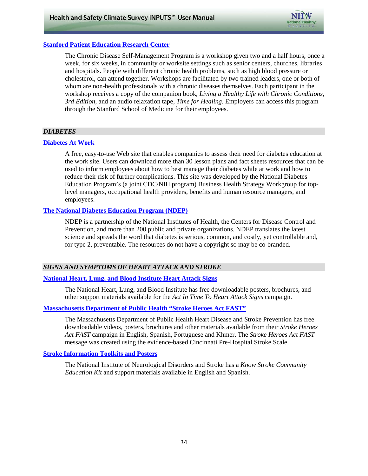

#### **[Stanford Patient Education Research Center](http://patienteducation.stanford.edu/programs/cdsmp.html)**

 and hospitals. People with different chronic health problems, such as high blood pressure or cholesterol, can attend together. Workshops are facilitated by two trained leaders, one or both of The Chronic Disease Self-Management Program is a workshop given two and a half hours, once a week, for six weeks, in community or worksite settings such as senior centers, churches, libraries whom are non-health professionals with a chronic diseases themselves. Each participant in the workshop receives a copy of the companion book, *Living a Healthy Life with Chronic Conditions, 3rd Edition*, and an audio relaxation tape, *Time for Healing*. Employers can access this program through the Stanford School of Medicine for their employees.

#### *DIABETES*

#### **[Diabetes At Work](http://www.diabetesatwork.org/)**

 A free, easy-to-use Web site that enables companies to assess their need for diabetes education at reduce their risk of further complications. This site was developed by the National Diabetes the work site. Users can download more than 30 lesson plans and fact sheets resources that can be used to inform employees about how to best manage their diabetes while at work and how to Education Program's (a joint CDC/NIH program) Business Health Strategy Workgroup for toplevel managers, occupational health providers, benefits and human resource managers, and employees.

#### **[The National Diabetes Education Program \(NDEP\)](http://www.yourdiabetesinfo.org/)**

 Prevention, and more than 200 public and private organizations. NDEP translates the latest science and spreads the word that diabetes is serious, common, and costly, yet controllable and, NDEP is a partnership of the National Institutes of Health, the Centers for Disease Control and for type 2, preventable. The resources do not have a copyright so may be co-branded.

#### *SIGNS AND SYMPTOMS OF HEART ATTACK AND STROKE*

#### **[National Heart, Lung, and Blood Institute Heart Attack Signs](http://www.nhlbi.nih.gov/health/public/heart/index.htm#ami)**

The National Heart, Lung, and Blood Institute has free downloadable posters, brochures, and other support materials available for the *Act In Time To Heart Attack Signs* campaign.

#### **[Massachusetts Department of Public Health "Stroke Heroes Act FAST"](http://www.mass.gov/eohhs/feature-story/stroke-heroes-act-fast.html)**

The Massachusetts Department of Public Health Heart Disease and Stroke Prevention has free downloadable videos, posters, brochures and other materials available from their *Stroke Heroes Act FAST* campaign in English, Spanish, Portuguese and Khmer. The *Stroke Heroes Act FAST*  message was created using the evidence-based Cincinnati Pre-Hospital Stroke Scale.

#### **[Stroke Information Toolkits and Posters](http://stroke.nih.gov/)**

The National Institute of Neurological Disorders and Stroke has a *Know Stroke Community Education Kit* and support materials available in English and Spanish.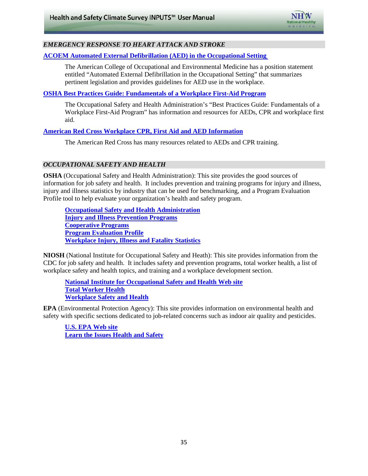

#### *EMERGENCY RESPONSE TO HEART ATTACK AND STROKE*

#### **[ACOEM Automated External Defibrillation \(AED\) in the Occupational Setting](http://www.acoem.org/guidelines.aspx?id=564)**

The American College of Occupational and Environmental Medicine has a position statement entitled "Automated External Defibrillation in the Occupational Setting" that summarizes pertinent legislation and provides guidelines for AED use in the workplace.

#### **[OSHA Best Practices Guide: Fundamentals of a Workplace First-Aid Program](http://www.osha.gov/Publications/OSHA3317first-aid.pdf)**

The Occupational Safety and Health Administration's "Best Practices Guide: Fundamentals of a Workplace First-Aid Program" has information and resources for AEDs, CPR and workplace first aid.

#### **[American Red Cross Workplace CPR, First Aid and AED Information](http://www.redcross.org/portal/site/en/menuitem.53fabf6cc033f17a2b1ecfbf43181aa0/?vgnextoid=42eebd7df52bb110VgnVCM10000089f0870aRCRD&currPage=032146a80f2bb110VgnVCM10000089f0870aRCRD)**

The American Red Cross has many resources related to AEDs and CPR training.

#### *OCCUPATIONAL SAFETY AND HEALTH*

 **OSHA** (Occupational Safety and Health Administration): This site provides the good sources of information for job safety and health. It includes prevention and training programs for injury and illness, injury and illness statistics by industry that can be used for benchmarking, and a Program Evaluation Profile tool to help evaluate your organization's health and safety program.

**<u>[Occupational Safety and Health Administration](http://www.osha.gov/)</u> [Injury and Illness Prevention Programs](http://www.osha.gov/dsg/topics/safetyhealth/index.html) [Cooperative Programs](http://www.osha.gov/dcsp/compliance_assistance/index_programs.html) [Program Evaluation Profile](http://www.osha.gov/dsg/topics/safetyhealth/pep.html) [Workplace Injury, Illness and Fatality Statistics](http://www.osha.gov/oshstats/work.html)**

 **NIOSH** (National Institute for Occupational Safety and Heath): This site provides information from the CDC for job safety and health. It includes safety and prevention programs, total worker health, a list of workplace safety and health topics, and training and a workplace development section.

 **[Total Worker Health](http://www.cdc.gov/niosh/twh/) [National Institute for Occupational Safety and Health Web site](http://www.cdc.gov/niosh/) [Workplace Safety and Health](http://www.cdc.gov/niosh/topics/safety.html)**

**EPA** (Environmental Protection Agency): This site provides information on environmental health and safety with specific sections dedicated to job-related concerns such as indoor air quality and pesticides.

 **[U.S. EPA Web site](http://www.epa.gov/) [Learn the Issues Health and Safety](http://www.epa.gov/gateway/learn/health.html)**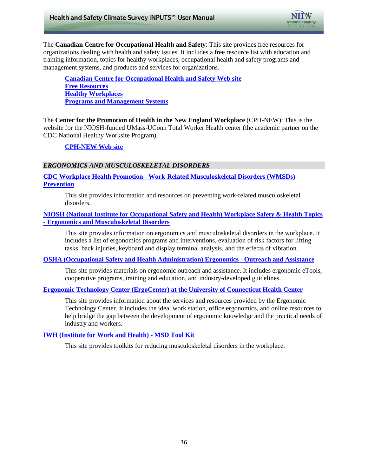

The **Canadian Centre for Occupational Health and Safety**: This site provides free resources for organizations dealing with health and safety issues. It includes a free resource list with education and training information, topics for healthy workplaces, occupational health and safety programs and management systems, and products and services for organizations.

**[Canadian Centre for Occupational Health and Safety Web site](http://www.ccohs.ca/) [Free Resources](http://www.ccohs.ca/resources/) [Healthy Workplaces](http://www.ccohs.ca/keytopics/healthy_wplaces.html) [Programs and Management Systems](http://www.ccohs.ca/keytopics/oshprograms.html)**

 CDC National Healthy Worksite Program). The **Center for the Promotion of Health in the New England Workplace** (CPH-NEW): This is the website for the NIOSH-funded UMass-UConn Total Worker Health center (the academic partner on the

#### **[CPH-NEW Web site](http://www.uml.edu/Research/centers/CPH-NEW/default.aspx)**

#### *ERGONOMICS AND MUSCULOSKELETAL DISORDERS*

**CDC Workplace Health Promotion - [Work-Related Musculoskeletal Disorders \(WMSDs\)](http://www.cdc.gov/workplacehealthpromotion/evaluation/topics/disorders.html)  [Prevention](http://www.cdc.gov/workplacehealthpromotion/evaluation/topics/disorders.html)** 

This site provides information and resources on preventing work-related musculoskeletal disorders.

**[NIOSH \(National Institute for Occupational Safety and Health\) Workplace Safety & Health Topics](http://www.cdc.gov/niosh/topics/ergonomics/)  - [Ergonomics and Musculoskeletal Disorders](http://www.cdc.gov/niosh/topics/ergonomics/)** 

This site provides information on ergonomics and musculoskeletal disorders in the workplace. It includes a list of ergonomics programs and interventions, evaluation of risk factors for lifting tasks, back injuries, keyboard and display terminal analysis, and the effects of vibration.

**[OSHA \(Occupational Safety and Health Administration\) Ergonomics -](https://www.osha.gov/SLTC/ergonomics/index.html) Outreach and Assistance** 

This site provides materials on ergonomic outreach and assistance. It includes ergonomic eTools, cooperative programs, training and education, and industry-developed guidelines.

#### **[Ergonomic Technology Center \(ErgoCenter\) at the University of Connecticut Health Center](http://www.oehc.uchc.edu/ergo.asp)**

This site provides information about the services and resources provided by the Ergonomic Technology Center. It includes the ideal work station, office ergonomics, and online resources to help bridge the gap between the development of ergonomic knowledge and the practical needs of industry and workers.

#### **[IWH \(Institute for Work and Health\) -](http://www.iwh.on.ca/msd-tool-kit) MSD Tool Kit**

This site provides toolkits for reducing musculoskeletal disorders in the workplace.